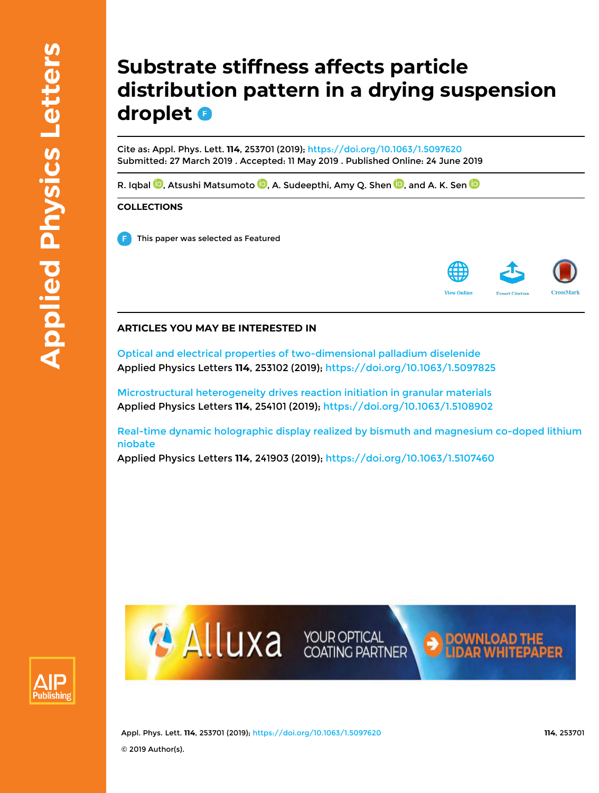# **Substrate stiffness affects particle distribution pattern in a drying suspension droplet**

Cite as: Appl. Phys. Lett. **114**, 253701 (2019); https://doi.org/10.1063/1.5097620 Submitted: 27 March 2019 . Accepted: 11 May 2019 . Published Online: 24 June 2019

R. Iqbal  $\mathbf{\mathbb{D}},$  Atsushi Matsumoto  $\mathbf{\mathbb{D}},$  A. Sudeepthi, Amy Q. Shen  $\mathbf{\mathbb{D}},$  and A. K. Sen  $\mathbf{\mathbb{D}}$ 

### **COLLECTIONS**

This paper was selected as Featured



## **ARTICLES YOU MAY BE INTERESTED IN**

Optical and electrical properties of two-dimensional palladium diselenide Applied Physics Letters **114**, 253102 (2019); https://doi.org/10.1063/1.5097825

Microstructural heterogeneity drives reaction initiation in granular materials Applied Physics Letters **114**, 254101 (2019); https://doi.org/10.1063/1.5108902

Real-time dynamic holographic display realized by bismuth and magnesium co-doped lithium niobate

Applied Physics Letters **114**, 241903 (2019); https://doi.org/10.1063/1.5107460





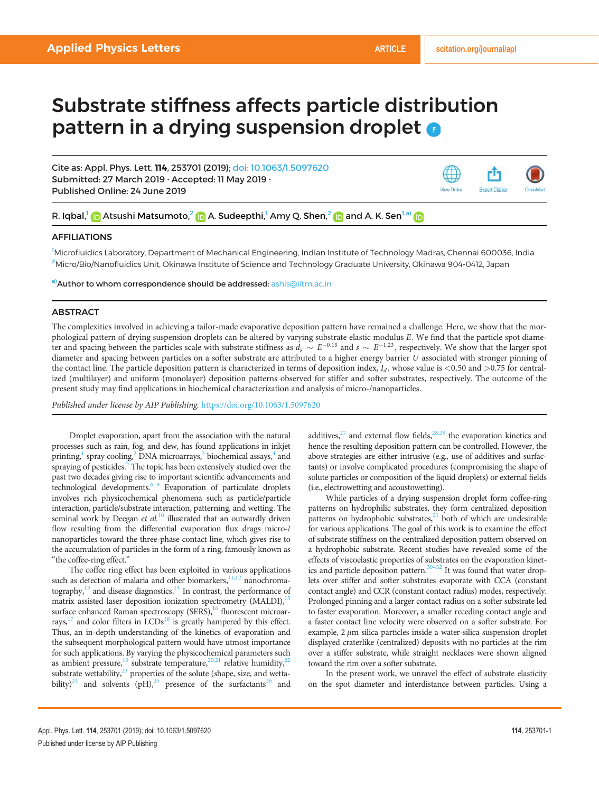## Substrate stiffness affects particle distribution pattern in a drying suspension droplet **o**

Cite as: Appl. Phys. Lett. 114, 253701 (2019); doi: 10.1063/1.5097620 Submitted: 27 March 2019 · Accepted: 11 May 2019 · Published Online: 24 June 2019



R. Iqbal,<sup>1</sup> In Atsushi Matsumoto,<sup>2</sup> In A. Sudeepthi,<sup>1</sup> Amy Q. Shen,<sup>2</sup> In and A. K. Sen<sup>1,a)</sup>

#### AFFILIATIONS

<sup>1</sup>Microfluidics Laboratory, Department of Mechanical Engineering, Indian Institute of Technology Madras, Chennai 600036, India <sup>2</sup>Micro/Bio/Nanofluidics Unit, Okinawa Institute of Science and Technology Graduate University, Okinawa 904-0412, Japan

a) Author to whom correspondence should be addressed: ashis@iitm.ac.in

### **ABSTRACT**

The complexities involved in achieving a tailor-made evaporative deposition pattern have remained a challenge. Here, we show that the morphological pattern of drying suspension droplets can be altered by varying substrate elastic modulus E. We find that the particle spot diameter and spacing between the particles scale with substrate stiffness as  $d_s \sim E^{-0.15}$  and  $s \sim E^{-1.23},$  respectively. We show that the larger spot diameter and spacing between particles on a softer substrate are attributed to a higher energy barrier U associated with stronger pinning of the contact line. The particle deposition pattern is characterized in terms of deposition index,  $I_d$ , whose value is <0.50 and >0.75 for centralized (multilayer) and uniform (monolayer) deposition patterns observed for stiffer and softer substrates, respectively. The outcome of the present study may find applications in biochemical characterization and analysis of micro-/nanoparticles.

Published under license by AIP Publishing. https://doi.org/10.1063/1.5097620

Droplet evaporation, apart from the association with the natural processes such as rain, fog, and dew, has found applications in inkjet printing,<sup>1</sup> spray cooling,<sup>2</sup> DNA microarrays,<sup>3</sup> biochemical assays,<sup>4</sup> and spraying of pesticides.<sup>5</sup> The topic has been extensively studied over the past two decades giving rise to important scientific advancements and technological developments. $6-9$  Evaporation of particulate droplets involves rich physicochemical phenomena such as particle/particle interaction, particle/substrate interaction, patterning, and wetting. The seminal work by Deegan et  $al$ .<sup>10</sup> illustrated that an outwardly driven flow resulting from the differential evaporation flux drags micro-/ nanoparticles toward the three-phase contact line, which gives rise to the accumulation of particles in the form of a ring, famously known as "the coffee-ring effect."

The coffee ring effect has been exploited in various applications such as detection of malaria and other biomarkers, $\frac{11,12}{10}$  nanochromatography, $13$  and disease diagnostics.<sup>14</sup> In contrast, the performance of matrix assisted laser deposition ionization spectrometry (MALDI),<sup>15</sup> surface enhanced Raman spectroscopy (SERS),<sup>16</sup> fluorescent microarrays, $^{17}$  and color filters in LCDs<sup>18</sup> is greatly hampered by this effect. Thus, an in-depth understanding of the kinetics of evaporation and the subsequent morphological pattern would have utmost importance for such applications. By varying the physicochemical parameters such as ambient pressure,<sup>19</sup> substrate temperature,<sup>20,21</sup> relative humidity,<sup>22</sup> substrate wettability, $^{23}$  properties of the solute (shape, size, and wettability)<sup>24</sup> and solvents (pH),<sup>25</sup> presence of the surfactants<sup>26</sup> and additives, $27$  and external flow fields, $28,29$  the evaporation kinetics and hence the resulting deposition pattern can be controlled. However, the above strategies are either intrusive (e.g., use of additives and surfactants) or involve complicated procedures (compromising the shape of solute particles or composition of the liquid droplets) or external fields (i.e., electrowetting and acoustowetting).

While particles of a drying suspension droplet form coffee-ring patterns on hydrophilic substrates, they form centralized deposition patterns on hydrophobic substrates, $21$  both of which are undesirable for various applications. The goal of this work is to examine the effect of substrate stiffness on the centralized deposition pattern observed on a hydrophobic substrate. Recent studies have revealed some of the effects of viscoelastic properties of substrates on the evaporation kinetics and particle deposition pattern. $30-32$  It was found that water droplets over stiffer and softer substrates evaporate with CCA (constant contact angle) and CCR (constant contact radius) modes, respectively. Prolonged pinning and a larger contact radius on a softer substrate led to faster evaporation. Moreover, a smaller receding contact angle and a faster contact line velocity were observed on a softer substrate. For example,  $2 \mu m$  silica particles inside a water-silica suspension droplet displayed craterlike (centralized) deposits with no particles at the rim over a stiffer substrate, while straight necklaces were shown aligned toward the rim over a softer substrate.

In the present work, we unravel the effect of substrate elasticity on the spot diameter and interdistance between particles. Using a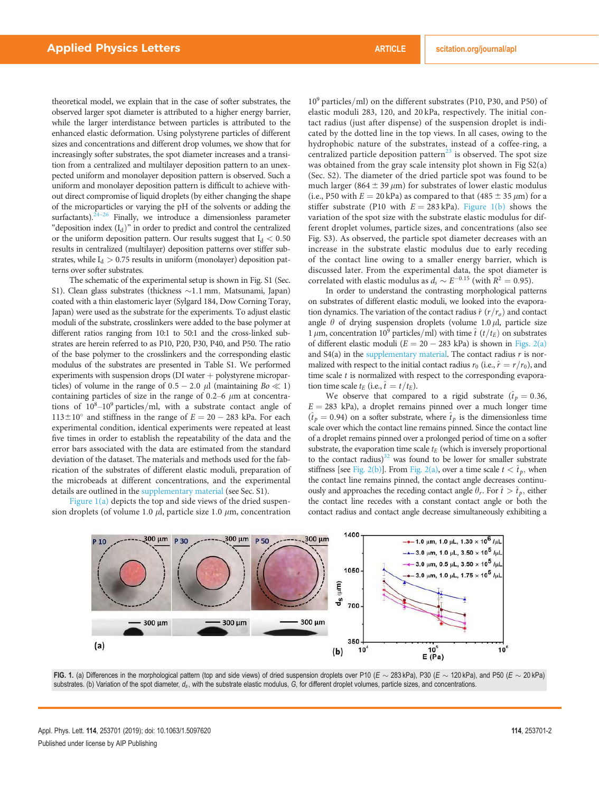theoretical model, we explain that in the case of softer substrates, the observed larger spot diameter is attributed to a higher energy barrier, while the larger interdistance between particles is attributed to the enhanced elastic deformation. Using polystyrene particles of different sizes and concentrations and different drop volumes, we show that for increasingly softer substrates, the spot diameter increases and a transition from a centralized and multilayer deposition pattern to an unexpected uniform and monolayer deposition pattern is observed. Such a uniform and monolayer deposition pattern is difficult to achieve without direct compromise of liquid droplets (by either changing the shape of the microparticles or varying the pH of the solvents or adding the surfactants). $24-26$  Finally, we introduce a dimensionless parameter "deposition index  $(I_d)$ " in order to predict and control the centralized or the uniform deposition pattern. Our results suggest that  $I_d < 0.50$ results in centralized (multilayer) deposition patterns over stiffer substrates, while  $I_d > 0.75$  results in uniform (monolayer) deposition patterns over softer substrates.

The schematic of the experimental setup is shown in Fig. S1 (Sec. S1). Clean glass substrates (thickness ~1.1 mm, Matsunami, Japan) coated with a thin elastomeric layer (Sylgard 184, Dow Corning Toray, Japan) were used as the substrate for the experiments. To adjust elastic moduli of the substrate, crosslinkers were added to the base polymer at different ratios ranging from 10:1 to 50:1 and the cross-linked substrates are herein referred to as P10, P20, P30, P40, and P50. The ratio of the base polymer to the crosslinkers and the corresponding elastic modulus of the substrates are presented in Table S1. We performed experiments with suspension drops ( $DI$  water  $+$  polystyrene microparticles) of volume in the range of  $0.5 - 2.0 \mu l$  (maintaining  $Bo \ll 1$ ) containing particles of size in the range of  $0.2-6$   $\mu$ m at concentrations of  $10^8-10^9$  particles/ml, with a substrate contact angle of  $113 \pm 10^{\circ}$  and stiffness in the range of  $E = 20 - 283$  kPa. For each experimental condition, identical experiments were repeated at least five times in order to establish the repeatability of the data and the error bars associated with the data are estimated from the standard deviation of the dataset. The materials and methods used for the fabrication of the substrates of different elastic moduli, preparation of the microbeads at different concentrations, and the experimental details are outlined in the supplementary material (see Sec. S1).

Figure 1(a) depicts the top and side views of the dried suspension droplets (of volume 1.0  $\mu$ l, particle size 1.0  $\mu$ m, concentration  $10<sup>9</sup>$  particles/ml) on the different substrates (P10, P30, and P50) of elastic moduli 283, 120, and 20 kPa, respectively. The initial contact radius (just after dispense) of the suspension droplet is indicated by the dotted line in the top views. In all cases, owing to the hydrophobic nature of the substrates, instead of a coffee-ring, a centralized particle deposition pattern<sup>23</sup> is observed. The spot size was obtained from the gray scale intensity plot shown in Fig S2(a) (Sec. S2). The diameter of the dried particle spot was found to be much larger (864  $\pm$  39  $\mu$ m) for substrates of lower elastic modulus (i.e., P50 with  $E = 20$  kPa) as compared to that (485  $\pm$  35  $\mu$ m) for a stiffer substrate (P10 with  $E = 283$  kPa). Figure 1(b) shows the variation of the spot size with the substrate elastic modulus for different droplet volumes, particle sizes, and concentrations (also see Fig. S3). As observed, the particle spot diameter decreases with an increase in the substrate elastic modulus due to early receding of the contact line owing to a smaller energy barrier, which is discussed later. From the experimental data, the spot diameter is correlated with elastic modulus as  $d_s \sim E^{-0.15}$  (with  $R^2 = 0.95$ ).

In order to understand the contrasting morphological patterns on substrates of different elastic moduli, we looked into the evaporation dynamics. The variation of the contact radius  $\hat{r}$  ( $r/r_o$ ) and contact angle  $\theta$  of drying suspension droplets (volume 1.0  $\mu$ l, particle size 1  $\mu$ m, concentration 10<sup>9</sup> particles/ml) with time  $\hat{t}$  ( $t/t_E$ ) on substrates of different elastic moduli ( $E = 20 - 283$  kPa) is shown in Figs. 2(a) and  $S4(a)$  in the supplementary material. The contact radius r is normalized with respect to the initial contact radius  $r_0$  (i.e.,  $\hat{r} = r/r_0$ ), and time scale  $t$  is normalized with respect to the corresponding evaporation time scale  $t_E$  (i.e.,  $\hat{t} = t/t_E$ ).

We observe that compared to a rigid substrate ( $\hat{t}_p = 0.36$ ,  $E = 283$  kPa), a droplet remains pinned over a much longer time  $(\hat{t}_p = 0.94)$  on a softer substrate, where  $\hat{t}_p$  is the dimensionless time scale over which the contact line remains pinned. Since the contact line of a droplet remains pinned over a prolonged period of time on a softer substrate, the evaporation time scale  $t_E$  (which is inversely proportional to the contact radius) $32$  was found to be lower for smaller substrate stiffness [see Fig. 2(b)]. From Fig. 2(a), over a time scale  $t < \hat{t}_p$ , when the contact line remains pinned, the contact angle decreases continuously and approaches the receding contact angle  $\theta_r$ . For  $\hat{t} > \hat{t}_p$ , either the contact line recedes with a constant contact angle or both the contact radius and contact angle decrease simultaneously exhibiting a



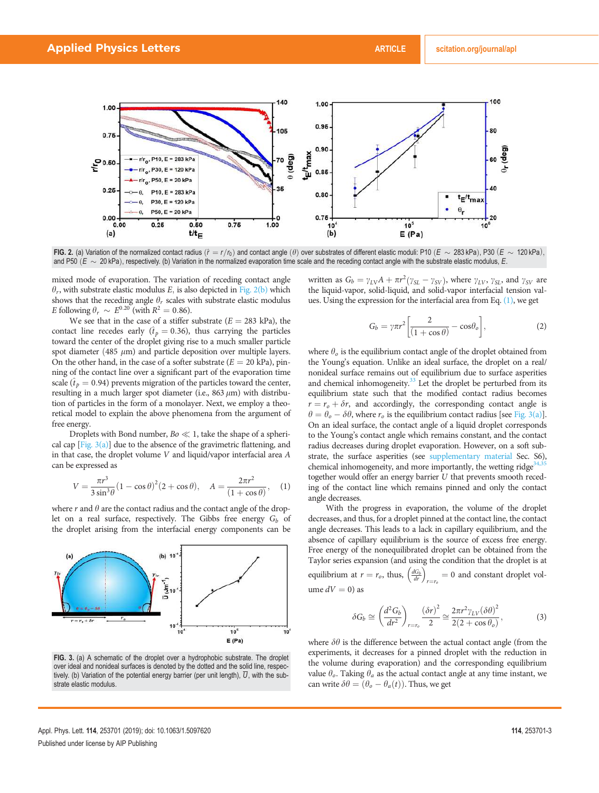

FIG. 2. (a) Variation of the normalized contact radius  $(\hat{r} = r/r_0)$  and contact angle  $(\theta)$  over substrates of different elastic moduli: P10  $(E \sim 283$  kPa), P30  $(E \sim 120$  kPa), and P50  $(E \sim 20$  kPa), respectively. (b) Variation in the normalized evaporation time scale and the receding contact angle with the substrate elastic modulus, E.

mixed mode of evaporation. The variation of receding contact angle  $\theta_r$ , with substrate elastic modulus E, is also depicted in Fig. 2(b) which shows that the receding angle  $\theta_r$  scales with substrate elastic modulus E following  $\theta_r \sim E^{0.20}$  (with  $R^2 = 0.86$ ).

We see that in the case of a stiffer substrate ( $E = 283$  kPa), the contact line recedes early ( $\hat{t}_p = 0.36$ ), thus carrying the particles toward the center of the droplet giving rise to a much smaller particle spot diameter (485  $\mu$ m) and particle deposition over multiple layers. On the other hand, in the case of a softer substrate  $(E = 20 \text{ kPa})$ , pinning of the contact line over a significant part of the evaporation time scale ( $\hat{t}_p = 0.94$ ) prevents migration of the particles toward the center, resulting in a much larger spot diameter (i.e.,  $863 \mu m$ ) with distribution of particles in the form of a monolayer. Next, we employ a theoretical model to explain the above phenomena from the argument of free energy.

Droplets with Bond number,  $Bo \ll 1$ , take the shape of a spherical cap  $[Fig. 3(a)]$  due to the absence of the gravimetric flattening, and in that case, the droplet volume V and liquid/vapor interfacial area A can be expressed as

$$
V = \frac{\pi r^3}{3\sin^3 \theta} (1 - \cos \theta)^2 (2 + \cos \theta), \quad A = \frac{2\pi r^2}{(1 + \cos \theta)}, \quad (1)
$$

where  $r$  and  $\theta$  are the contact radius and the contact angle of the droplet on a real surface, respectively. The Gibbs free energy  $G_b$  of the droplet arising from the interfacial energy components can be



FIG. 3. (a) A schematic of the droplet over a hydrophobic substrate. The droplet over ideal and nonideal surfaces is denoted by the dotted and the solid line, respectively. (b) Variation of the potential energy barrier (per unit length),  $\overline{U}$ , with the substrate elastic modulus.

written as  $G_b = \gamma_{LV}A + \pi r^2 (\gamma_{SL} - \gamma_{SV})$ , where  $\gamma_{LV}$ ,  $\gamma_{SL}$ , and  $\gamma_{SV}$  are the liquid-vapor, solid-liquid, and solid-vapor interfacial tension values. Using the expression for the interfacial area from Eq. (1), we get

$$
G_b = \gamma \pi r^2 \left[ \frac{2}{(1 + \cos \theta)} - \cos \theta_o \right],\tag{2}
$$

where  $\theta_o$  is the equilibrium contact angle of the droplet obtained from the Young's equation. Unlike an ideal surface, the droplet on a real/ nonideal surface remains out of equilibrium due to surface asperities and chemical inhomogeneity. $33$  Let the droplet be perturbed from its equilibrium state such that the modified contact radius becomes  $r = r<sub>o</sub> + \delta r$ , and accordingly, the corresponding contact angle is  $\theta = \theta_o - \delta \theta$ , where  $r_o$  is the equilibrium contact radius [see Fig. 3(a)]. On an ideal surface, the contact angle of a liquid droplet corresponds to the Young's contact angle which remains constant, and the contact radius decreases during droplet evaporation. However, on a soft substrate, the surface asperities (see supplementary material Sec. S6), chemical inhomogeneity, and more importantly, the wetting ridge<sup>3</sup> together would offer an energy barrier U that prevents smooth receding of the contact line which remains pinned and only the contact angle decreases.

With the progress in evaporation, the volume of the droplet decreases, and thus, for a droplet pinned at the contact line, the contact angle decreases. This leads to a lack in capillary equilibrium, and the absence of capillary equilibrium is the source of excess free energy. Free energy of the nonequilibrated droplet can be obtained from the Taylor series expansion (and using the condition that the droplet is at equilibrium at  $r = r_o$ , thus,  $\left(\frac{dG_b}{dr}\right)_{r=r_o} = 0$  and constant droplet volume  $dV = 0$ ) as

$$
\delta G_b \cong \left(\frac{d^2 G_b}{dr^2}\right)_{r=r_o} \frac{\left(\delta r\right)^2}{2} \cong \frac{2\pi r^2 \gamma_{LV} (\delta \theta)^2}{2(2+\cos\theta_o)},\tag{3}
$$

where  $\delta\theta$  is the difference between the actual contact angle (from the experiments, it decreases for a pinned droplet with the reduction in the volume during evaporation) and the corresponding equilibrium value  $\theta_o$ . Taking  $\theta_a$  as the actual contact angle at any time instant, we can write  $\delta\theta = (\theta_o - \theta_a(t))$ . Thus, we get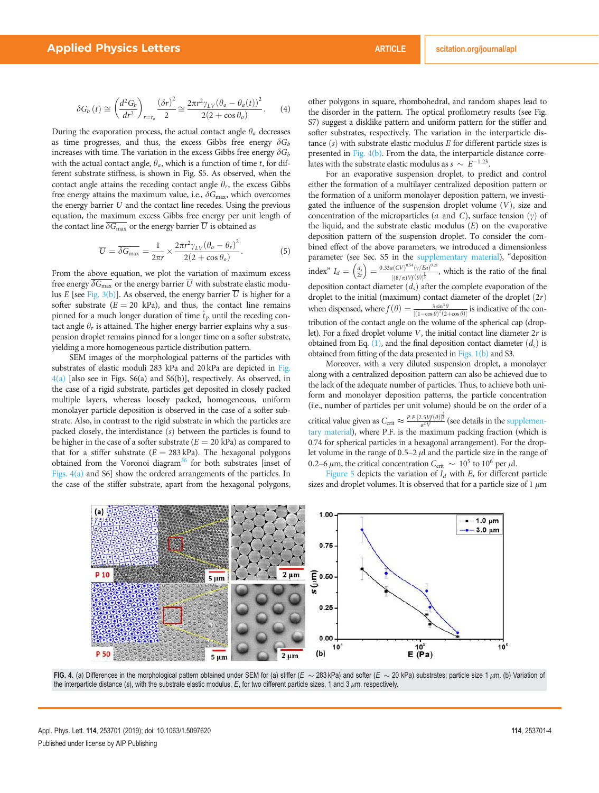$$
\delta G_b(t) \cong \left(\frac{d^2 G_b}{dt^2}\right)_{r=r_o} \frac{\left(\delta r\right)^2}{2} \cong \frac{2\pi r^2 \gamma_{LV} \left(\theta_o - \theta_a(t)\right)^2}{2(2 + \cos \theta_o)}.
$$
 (4)

During the evaporation process, the actual contact angle  $\theta_a$  decreases as time progresses, and thus, the excess Gibbs free energy  $\delta G_b$ increases with time. The variation in the excess Gibbs free energy  $\delta G_b$ with the actual contact angle,  $\theta_a$ , which is a function of time t, for different substrate stiffness, is shown in Fig. S5. As observed, when the contact angle attains the receding contact angle  $\theta_r$ , the excess Gibbs free energy attains the maximum value, i.e.,  $\delta G_{\text{max}}$ , which overcomes the energy barrier U and the contact line recedes. Using the previous equation, the maximum excess Gibbs free energy per unit length of the contact line  $\overline{\delta G_{\text{max}}}$  or the energy barrier  $\overline{U}$  is obtained as

$$
\overline{U} = \overline{\delta G_{\text{max}}} = \frac{1}{2\pi r} \times \frac{2\pi r^2 \gamma_{LV} (\theta_o - \theta_r)^2}{2(2 + \cos \theta_o)}.
$$
(5)

From the above equation, we plot the variation of maximum excess free energy  $\overline{\delta G_{\text{max}}}$  or the energy barrier  $\overline{U}$  with substrate elastic modulus E [see Fig. 3(b)]. As observed, the energy barrier  $\overline{U}$  is higher for a softer substrate ( $E = 20$  kPa), and thus, the contact line remains pinned for a much longer duration of time  $\hat{t}_p$  until the receding contact angle  $\theta_r$  is attained. The higher energy barrier explains why a suspension droplet remains pinned for a longer time on a softer substrate, yielding a more homogeneous particle distribution pattern.

SEM images of the morphological patterns of the particles with substrates of elastic moduli 283 kPa and 20 kPa are depicted in Fig.  $4(a)$  [also see in Figs. S6(a) and S6(b)], respectively. As observed, in the case of a rigid substrate, particles get deposited in closely packed multiple layers, whereas loosely packed, homogeneous, uniform monolayer particle deposition is observed in the case of a softer substrate. Also, in contrast to the rigid substrate in which the particles are packed closely, the interdistance  $(s)$  between the particles is found to be higher in the case of a softer substrate  $(E = 20 \text{ kPa})$  as compared to that for a stiffer substrate  $(E = 283 \text{ kPa})$ . The hexagonal polygons obtained from the Voronoi diagram<sup>36</sup> for both substrates [inset of Figs. 4(a) and S6] show the ordered arrangements of the particles. In the case of the stiffer substrate, apart from the hexagonal polygons, other polygons in square, rhombohedral, and random shapes lead to the disorder in the pattern. The optical profilometry results (see Fig. S7) suggest a disklike pattern and uniform pattern for the stiffer and softer substrates, respectively. The variation in the interparticle distance  $(s)$  with substrate elastic modulus E for different particle sizes is presented in Fig. 4(b). From the data, the interparticle distance correlates with the substrate elastic modulus as  $s \sim E^{-1.23}$ .

For an evaporative suspension droplet, to predict and control either the formation of a multilayer centralized deposition pattern or the formation of a uniform monolayer deposition pattern, we investigated the influence of the suspension droplet volume  $(V)$ , size and concentration of the microparticles (a and C), surface tension  $(\gamma)$  of the liquid, and the substrate elastic modulus  $(E)$  on the evaporative deposition pattern of the suspension droplet. To consider the combined effect of the above parameters, we introduced a dimensionless parameter (see Sec. S5 in the supplementary material), "deposition index"  $I_d = \left(\frac{d_s}{2r}\right) = \frac{0.33a(CV)^{0.54}(\gamma/Eq)^{0.21}}{\left[\left(\frac{8}{\pi}\right)\sqrt{Vf(d)}\right]^{\frac{1}{3}}}$  $[(8/\pi) Vf(\theta)]^{\frac{1}{3}}$  $\frac{1}{1}$ , which is the ratio of the final deposition contact diameter  $(d_s)$  after the complete evaporation of the droplet to the initial (maximum) contact diameter of the droplet  $(2r)$ when dispensed, where  $f(\theta) = \frac{3 \sin^3 \theta}{[(1-\cos \theta)^2 (2+\cos \theta)]}$  is indicative of the contribution of the contact angle on the volume of the spherical cap (droplet). For a fixed droplet volume  $V$ , the initial contact line diameter  $2r$  is obtained from Eq. (1), and the final deposition contact diameter  $(d_s)$  is obtained from fitting of the data presented in Figs. 1(b) and S3.

Moreover, with a very diluted suspension droplet, a monolayer along with a centralized deposition pattern can also be achieved due to the lack of the adequate number of particles. Thus, to achieve both uniform and monolayer deposition patterns, the particle concentration (i.e., number of particles per unit volume) should be on the order of a critical value given as  $C_{\text{crit}} \approx \frac{P.F.[2.5 Vf(\theta)]^{\frac{2}{3}}}{a^2 V}$  (see details in the supplementary material), where P.F. is the maximum packing fraction (which is 0.74 for spherical particles in a hexagonal arrangement). For the droplet volume in the range of  $0.5-2 \mu l$  and the particle size in the range of 0.2–6  $\mu$ m, the critical concentration  $C_{\text{crit}} \sim 10^5$  to 10<sup>6</sup> per  $\mu$ l.

Figure 5 depicts the variation of  $I_d$  with E, for different particle sizes and droplet volumes. It is observed that for a particle size of 1  $\mu$ m



FIG. 4. (a) Differences in the morphological pattern obtained under SEM for (a) stiffer (E  $\sim$  283 kPa) and softer (E  $\sim$  20 kPa) substrates; particle size 1  $\mu$ m. (b) Variation of the interparticle distance (s), with the substrate elastic modulus,  $E$ , for two different particle sizes, 1 and 3  $\mu$ m, respectively.